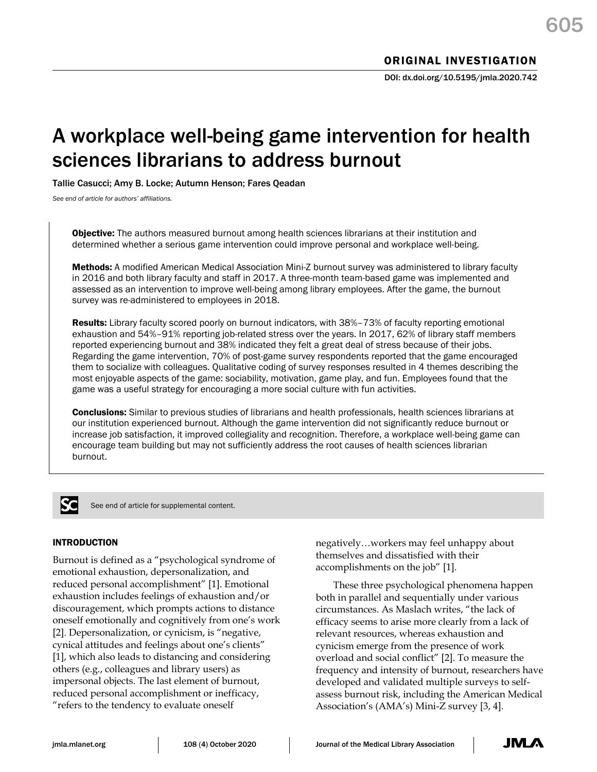# A workplace well-being game intervention for health sciences librarians to address burnout

Tallie Casucci; Amy B. Locke; Autumn Henson; Fares Qeadan

*See end of article for authors' affiliations.*

**Objective:** The authors measured burnout among health sciences librarians at their institution and determined whether a serious game intervention could improve personal and workplace well-being.

Methods: A modified American Medical Association Mini-Z burnout survey was administered to library faculty in 2016 and both library faculty and staff in 2017. A three-month team-based game was implemented and assessed as an intervention to improve well-being among library employees. After the game, the burnout survey was re-administered to employees in 2018.

**Results:** Library faculty scored poorly on burnout indicators, with 38%–73% of faculty reporting emotional exhaustion and 54%–91% reporting job-related stress over the years. In 2017, 62% of library staff members reported experiencing burnout and 38% indicated they felt a great deal of stress because of their jobs. Regarding the game intervention, 70% of post-game survey respondents reported that the game encouraged them to socialize with colleagues. Qualitative coding of survey responses resulted in 4 themes describing the most enjoyable aspects of the game: sociability, motivation, game play, and fun. Employees found that the game was a useful strategy for encouraging a more social culture with fun activities.

Conclusions: Similar to previous studies of librarians and health professionals, health sciences librarians at our institution experienced burnout. Although the game intervention did not significantly reduce burnout or increase job satisfaction, it improved collegiality and recognition. Therefore, a workplace well-being game can encourage team building but may not sufficiently address the root causes of health sciences librarian burnout.



See end of article for supplemental content.

#### INTRODUCTION

Burnout is defined as a "psychological syndrome of emotional exhaustion, depersonalization, and reduced personal accomplishment" [1]. Emotional exhaustion includes feelings of exhaustion and/or discouragement, which prompts actions to distance oneself emotionally and cognitively from one's work [2]. Depersonalization, or cynicism, is "negative, cynical attitudes and feelings about one's clients" [1], which also leads to distancing and considering others (e.g., colleagues and library users) as impersonal objects. The last element of burnout, reduced personal accomplishment or inefficacy, "refers to the tendency to evaluate oneself

negatively…workers may feel unhappy about themselves and dissatisfied with their accomplishments on the job" [1].

These three psychological phenomena happen both in parallel and sequentially under various circumstances. As Maslach writes, "the lack of efficacy seems to arise more clearly from a lack of relevant resources, whereas exhaustion and cynicism emerge from the presence of work overload and social conflict" [2]. To measure the frequency and intensity of burnout, researchers have developed and validated multiple surveys to selfassess burnout risk, including the American Medical Association's (AMA's) Mini-Z survey [3, 4].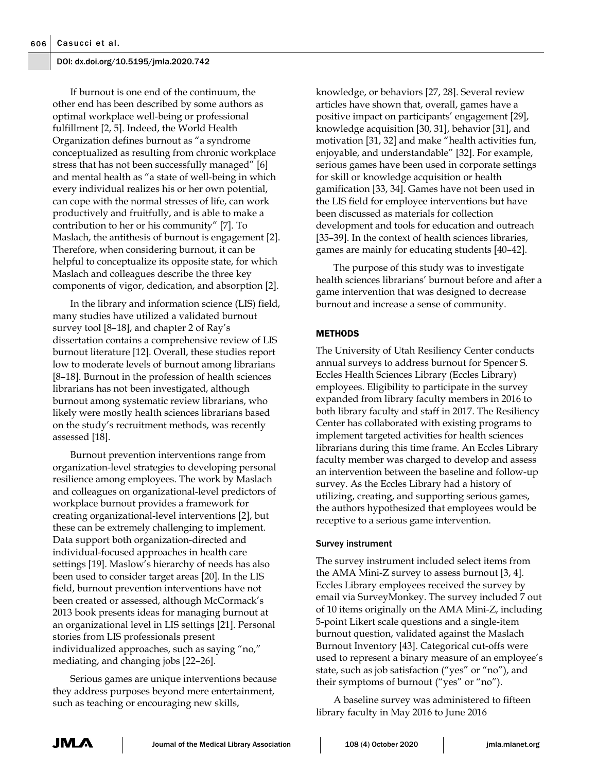If burnout is one end of the continuum, the other end has been described by some authors as optimal workplace well-being or professional fulfillment [2, 5]. Indeed, the World Health Organization defines burnout as "a syndrome conceptualized as resulting from chronic workplace stress that has not been successfully managed" [6] and mental health as "a state of well-being in which every individual realizes his or her own potential, can cope with the normal stresses of life, can work productively and fruitfully, and is able to make a contribution to her or his community" [7]. To Maslach, the antithesis of burnout is engagement [2]. Therefore, when considering burnout, it can be helpful to conceptualize its opposite state, for which Maslach and colleagues describe the three key components of vigor, dedication, and absorption [2].

In the library and information science (LIS) field, many studies have utilized a validated burnout survey tool [8–18], and chapter 2 of Ray's dissertation contains a comprehensive review of LIS burnout literature [12]. Overall, these studies report low to moderate levels of burnout among librarians [8–18]. Burnout in the profession of health sciences librarians has not been investigated, although burnout among systematic review librarians, who likely were mostly health sciences librarians based on the study's recruitment methods, was recently assessed [18].

Burnout prevention interventions range from organization-level strategies to developing personal resilience among employees. The work by Maslach and colleagues on organizational-level predictors of workplace burnout provides a framework for creating organizational-level interventions [2], but these can be extremely challenging to implement. Data support both organization-directed and individual-focused approaches in health care settings [19]. Maslow's hierarchy of needs has also been used to consider target areas [20]. In the LIS field, burnout prevention interventions have not been created or assessed, although McCormack's 2013 book presents ideas for managing burnout at an organizational level in LIS settings [21]. Personal stories from LIS professionals present individualized approaches, such as saying "no," mediating, and changing jobs [22–26].

Serious games are unique interventions because they address purposes beyond mere entertainment, such as teaching or encouraging new skills,

knowledge, or behaviors [27, 28]. Several review articles have shown that, overall, games have a positive impact on participants' engagement [29], knowledge acquisition [30, 31], behavior [31], and motivation [31, 32] and make "health activities fun, enjoyable, and understandable" [32]. For example, serious games have been used in corporate settings for skill or knowledge acquisition or health gamification [33, 34]. Games have not been used in the LIS field for employee interventions but have been discussed as materials for collection development and tools for education and outreach [35–39]. In the context of health sciences libraries, games are mainly for educating students [40–42].

The purpose of this study was to investigate health sciences librarians' burnout before and after a game intervention that was designed to decrease burnout and increase a sense of community.

## **METHODS**

The University of Utah Resiliency Center conducts annual surveys to address burnout for Spencer S. Eccles Health Sciences Library (Eccles Library) employees. Eligibility to participate in the survey expanded from library faculty members in 2016 to both library faculty and staff in 2017. The Resiliency Center has collaborated with existing programs to implement targeted activities for health sciences librarians during this time frame. An Eccles Library faculty member was charged to develop and assess an intervention between the baseline and follow-up survey. As the Eccles Library had a history of utilizing, creating, and supporting serious games, the authors hypothesized that employees would be receptive to a serious game intervention.

#### Survey instrument

The survey instrument included select items from the AMA Mini-Z survey to assess burnout [3, 4]. Eccles Library employees received the survey by email via SurveyMonkey. The survey included 7 out of 10 items originally on the AMA Mini-Z, including 5-point Likert scale questions and a single-item burnout question, validated against the Maslach Burnout Inventory [43]. Categorical cut-offs were used to represent a binary measure of an employee's state, such as job satisfaction ("yes" or "no"), and their symptoms of burnout ("yes" or "no").

A baseline survey was administered to fifteen library faculty in May 2016 to June 2016

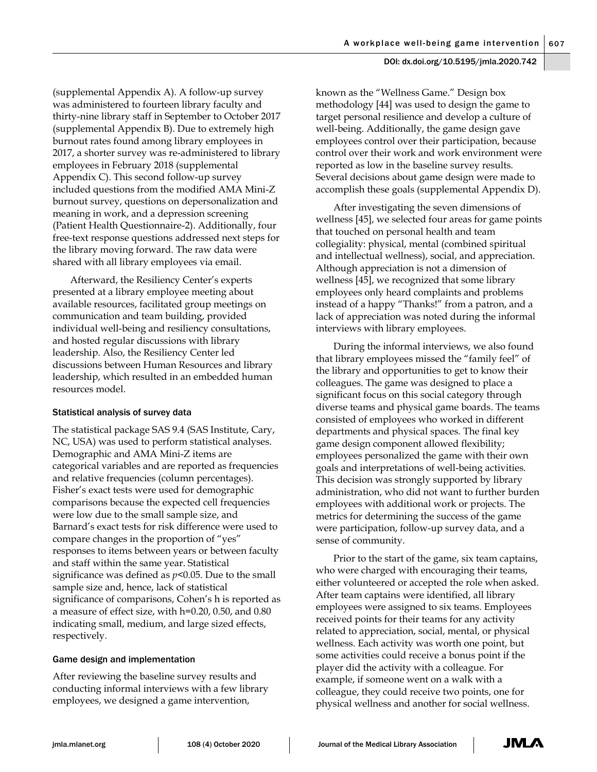(supplemental Appendix A). A follow-up survey was administered to fourteen library faculty and thirty-nine library staff in September to October 2017 (supplemental Appendix B). Due to extremely high burnout rates found among library employees in 2017, a shorter survey was re-administered to library employees in February 2018 (supplemental Appendix C). This second follow-up survey included questions from the modified AMA Mini-Z burnout survey, questions on depersonalization and meaning in work, and a depression screening (Patient Health Questionnaire-2). Additionally, four free-text response questions addressed next steps for the library moving forward. The raw data were shared with all library employees via email.

Afterward, the Resiliency Center's experts presented at a library employee meeting about available resources, facilitated group meetings on communication and team building, provided individual well-being and resiliency consultations, and hosted regular discussions with library leadership. Also, the Resiliency Center led discussions between Human Resources and library leadership, which resulted in an embedded human resources model.

## Statistical analysis of survey data

The statistical package SAS 9.4 (SAS Institute, Cary, NC, USA) was used to perform statistical analyses. Demographic and AMA Mini-Z items are categorical variables and are reported as frequencies and relative frequencies (column percentages). Fisher's exact tests were used for demographic comparisons because the expected cell frequencies were low due to the small sample size, and Barnard's exact tests for risk difference were used to compare changes in the proportion of "yes" responses to items between years or between faculty and staff within the same year. Statistical significance was defined as *p*<0.05. Due to the small sample size and, hence, lack of statistical significance of comparisons, Cohen's h is reported as a measure of effect size, with h=0.20, 0.50, and 0.80 indicating small, medium, and large sized effects, respectively.

## Game design and implementation

After reviewing the baseline survey results and conducting informal interviews with a few library employees, we designed a game intervention,

known as the "Wellness Game." Design box methodology [44] was used to design the game to target personal resilience and develop a culture of well-being. Additionally, the game design gave employees control over their participation, because control over their work and work environment were reported as low in the baseline survey results. Several decisions about game design were made to accomplish these goals (supplemental Appendix D).

After investigating the seven dimensions of wellness [45], we selected four areas for game points that touched on personal health and team collegiality: physical, mental (combined spiritual and intellectual wellness), social, and appreciation. Although appreciation is not a dimension of wellness [45], we recognized that some library employees only heard complaints and problems instead of a happy "Thanks!" from a patron, and a lack of appreciation was noted during the informal interviews with library employees.

During the informal interviews, we also found that library employees missed the "family feel" of the library and opportunities to get to know their colleagues. The game was designed to place a significant focus on this social category through diverse teams and physical game boards. The teams consisted of employees who worked in different departments and physical spaces. The final key game design component allowed flexibility; employees personalized the game with their own goals and interpretations of well-being activities. This decision was strongly supported by library administration, who did not want to further burden employees with additional work or projects. The metrics for determining the success of the game were participation, follow-up survey data, and a sense of community.

Prior to the start of the game, six team captains, who were charged with encouraging their teams, either volunteered or accepted the role when asked. After team captains were identified, all library employees were assigned to six teams. Employees received points for their teams for any activity related to appreciation, social, mental, or physical wellness. Each activity was worth one point, but some activities could receive a bonus point if the player did the activity with a colleague. For example, if someone went on a walk with a colleague, they could receive two points, one for physical wellness and another for social wellness.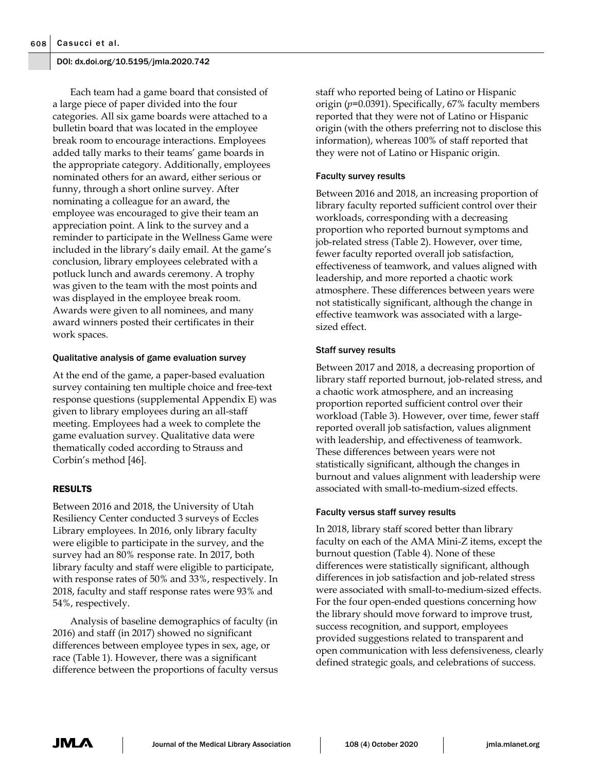Each team had a game board that consisted of a large piece of paper divided into the four categories. All six game boards were attached to a bulletin board that was located in the employee break room to encourage interactions. Employees added tally marks to their teams' game boards in the appropriate category. Additionally, employees nominated others for an award, either serious or funny, through a short online survey. After nominating a colleague for an award, the employee was encouraged to give their team an appreciation point. A link to the survey and a reminder to participate in the Wellness Game were included in the library's daily email. At the game's conclusion, library employees celebrated with a potluck lunch and awards ceremony. A trophy was given to the team with the most points and was displayed in the employee break room. Awards were given to all nominees, and many award winners posted their certificates in their work spaces.

#### Qualitative analysis of game evaluation survey

At the end of the game, a paper-based evaluation survey containing ten multiple choice and free-text response questions (supplemental Appendix E) was given to library employees during an all-staff meeting. Employees had a week to complete the game evaluation survey. Qualitative data were thematically coded according to Strauss and Corbin's method [46].

## RESULTS

Between 2016 and 2018, the University of Utah Resiliency Center conducted 3 surveys of Eccles Library employees. In 2016, only library faculty were eligible to participate in the survey, and the survey had an 80% response rate. In 2017, both library faculty and staff were eligible to participate, with response rates of 50% and 33%, respectively. In 2018, faculty and staff response rates were 93% and 54%, respectively.

Analysis of baseline demographics of faculty (in 2016) and staff (in 2017) showed no significant differences between employee types in sex, age, or race (Table 1). However, there was a significant difference between the proportions of faculty versus staff who reported being of Latino or Hispanic origin (*p*=0.0391). Specifically, 67% faculty members reported that they were not of Latino or Hispanic origin (with the others preferring not to disclose this information), whereas 100% of staff reported that they were not of Latino or Hispanic origin.

## Faculty survey results

Between 2016 and 2018, an increasing proportion of library faculty reported sufficient control over their workloads, corresponding with a decreasing proportion who reported burnout symptoms and job-related stress (Table 2). However, over time, fewer faculty reported overall job satisfaction, effectiveness of teamwork, and values aligned with leadership, and more reported a chaotic work atmosphere. These differences between years were not statistically significant, although the change in effective teamwork was associated with a largesized effect.

## Staff survey results

Between 2017 and 2018, a decreasing proportion of library staff reported burnout, job-related stress, and a chaotic work atmosphere, and an increasing proportion reported sufficient control over their workload (Table 3). However, over time, fewer staff reported overall job satisfaction, values alignment with leadership, and effectiveness of teamwork. These differences between years were not statistically significant, although the changes in burnout and values alignment with leadership were associated with small-to-medium-sized effects.

#### Faculty versus staff survey results

In 2018, library staff scored better than library faculty on each of the AMA Mini-Z items, except the burnout question (Table 4). None of these differences were statistically significant, although differences in job satisfaction and job-related stress were associated with small-to-medium-sized effects. For the four open-ended questions concerning how the library should move forward to improve trust, success recognition, and support, employees provided suggestions related to transparent and open communication with less defensiveness, clearly defined strategic goals, and celebrations of success.

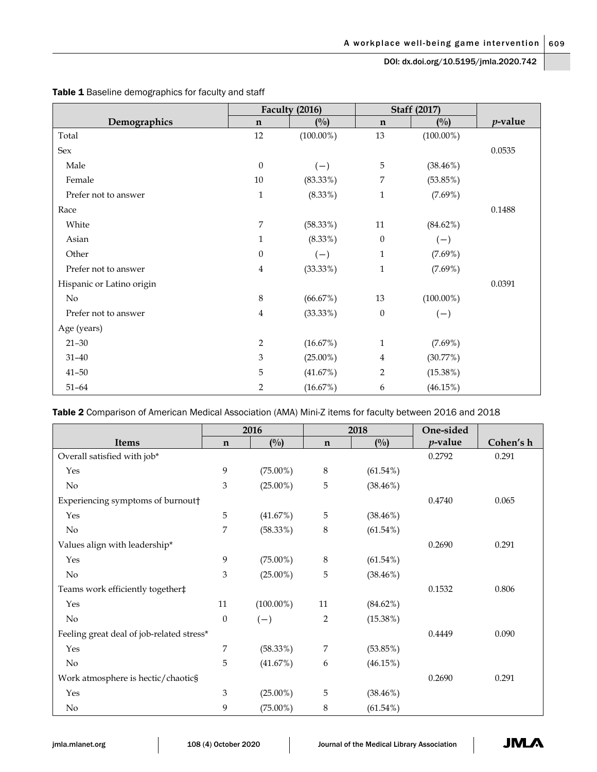|                           | Faculty (2016)   |                | <b>Staff (2017)</b> |              |            |
|---------------------------|------------------|----------------|---------------------|--------------|------------|
| Demographics              | $\mathbf n$      | $\binom{0}{0}$ | $\mathbf n$         | (0/0)        | $p$ -value |
| Total                     | 12               | $(100.00\%)$   | 13                  | $(100.00\%)$ |            |
| Sex                       |                  |                |                     |              | 0.0535     |
| Male                      | $\mathbf{0}$     | $(-)$          | 5                   | $(38.46\%)$  |            |
| Female                    | 10               | $(83.33\%)$    | 7                   | (53.85%)     |            |
| Prefer not to answer      | $\mathbf 1$      | $(8.33\%)$     | $\mathbf{1}$        | $(7.69\%)$   |            |
| Race                      |                  |                |                     |              | 0.1488     |
| White                     | 7                | (58.33%)       | $11\,$              | (84.62%)     |            |
| Asian                     | $\mathbf{1}$     | $(8.33\%)$     | $\theta$            | $(-)$        |            |
| Other                     | $\boldsymbol{0}$ | $(-)$          | $\mathbf{1}$        | $(7.69\%)$   |            |
| Prefer not to answer      | 4                | (33.33%)       | $\mathbf{1}$        | $(7.69\%)$   |            |
| Hispanic or Latino origin |                  |                |                     |              | 0.0391     |
| $\rm No$                  | 8                | (66.67%)       | 13                  | $(100.00\%)$ |            |
| Prefer not to answer      | $\overline{4}$   | $(33.33\%)$    | $\boldsymbol{0}$    | $(-)$        |            |
| Age (years)               |                  |                |                     |              |            |
| $21 - 30$                 | 2                | (16.67%)       | $\mathbf{1}$        | $(7.69\%)$   |            |
| $31 - 40$                 | $\mathfrak{B}$   | $(25.00\%)$    | 4                   | (30.77%)     |            |
| $41 - 50$                 | 5                | (41.67%)       | 2                   | $(15.38\%)$  |            |
| $51 - 64$                 | 2                | (16.67%)       | 6                   | (46.15%)     |            |

## Table 1 Baseline demographics for faculty and staff

Table 2 Comparison of American Medical Association (AMA) Mini-Z items for faculty between 2016 and 2018

|                                           | 2016             |              | 2018           |             | One-sided  |           |
|-------------------------------------------|------------------|--------------|----------------|-------------|------------|-----------|
| <b>Items</b>                              | $\mathbf n$      | (0/0)        | $\mathbf n$    | (0/0)       | $p$ -value | Cohen's h |
| Overall satisfied with job*               |                  |              |                |             | 0.2792     | 0.291     |
| Yes                                       | 9                | $(75.00\%)$  | 8              | $(61.54\%)$ |            |           |
| $\rm No$                                  | 3                | $(25.00\%)$  | 5              | $(38.46\%)$ |            |           |
| Experiencing symptoms of burnout†         |                  |              |                |             | 0.4740     | 0.065     |
| Yes                                       | 5                | (41.67%)     | 5              | $(38.46\%)$ |            |           |
| No                                        | 7                | (58.33%)     | 8              | $(61.54\%)$ |            |           |
| Values align with leadership*             |                  |              |                |             | 0.2690     | 0.291     |
| Yes                                       | 9                | $(75.00\%)$  | $\,8\,$        | $(61.54\%)$ |            |           |
| $\rm No$                                  | 3                | $(25.00\%)$  | 5              | $(38.46\%)$ |            |           |
| Teams work efficiently together#          |                  |              |                |             | 0.1532     | 0.806     |
| Yes                                       | 11               | $(100.00\%)$ | 11             | $(84.62\%)$ |            |           |
| N <sub>o</sub>                            | $\boldsymbol{0}$ | $(-)$        | $\overline{2}$ | $(15.38\%)$ |            |           |
| Feeling great deal of job-related stress* |                  |              |                |             | 0.4449     | 0.090     |
| Yes                                       | 7                | (58.33%)     | 7              | $(53.85\%)$ |            |           |
| No                                        | 5                | (41.67%)     | 6              | (46.15%)    |            |           |
| Work atmosphere is hectic/chaotic§        |                  |              |                |             | 0.2690     | 0.291     |
| Yes                                       | 3                | $(25.00\%)$  | 5              | $(38.46\%)$ |            |           |
| No                                        | 9                | $(75.00\%)$  | 8              | $(61.54\%)$ |            |           |

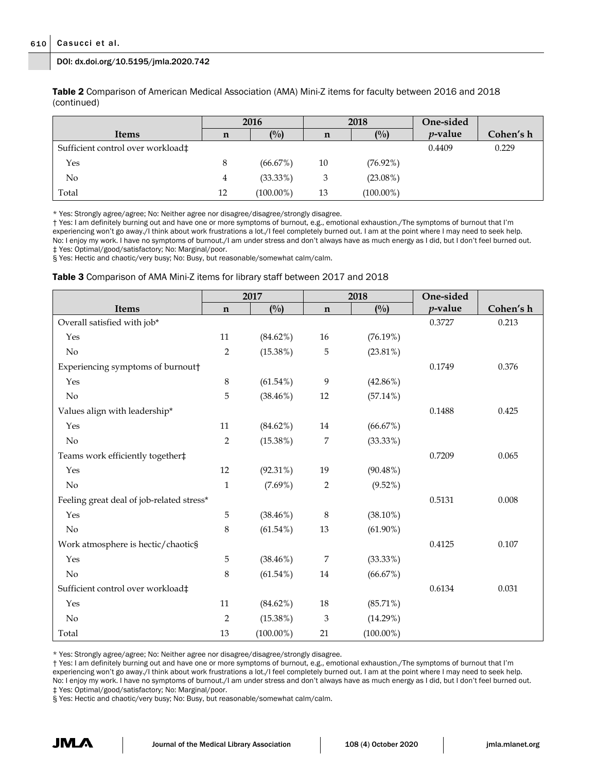Table 2 Comparison of American Medical Association (AMA) Mini-Z items for faculty between 2016 and 2018 (continued)

|                                   | 2016 |              | 2018 |              | One-sided  |           |
|-----------------------------------|------|--------------|------|--------------|------------|-----------|
| <b>Items</b>                      | n    | (0/0)        | n    | (0/0)        | $p$ -value | Cohen's h |
| Sufficient control over workload‡ |      |              |      |              | 0.4409     | 0.229     |
| Yes                               | 8    | (66.67%)     | 10   | $(76.92\%)$  |            |           |
| No                                | 4    | (33.33%)     | 3    | $(23.08\%)$  |            |           |
| Total                             | 12   | $(100.00\%)$ | 13   | $(100.00\%)$ |            |           |

\* Yes: Strongly agree/agree; No: Neither agree nor disagree/disagree/strongly disagree.

† Yes: I am definitely burning out and have one or more symptoms of burnout, e.g., emotional exhaustion./The symptoms of burnout that I'm experiencing won't go away./I think about work frustrations a lot./I feel completely burned out. I am at the point where I may need to seek help. No: I enjoy my work. I have no symptoms of burnout./I am under stress and don't always have as much energy as I did, but I don't feel burned out. ‡ Yes: Optimal/good/satisfactory; No: Marginal/poor.

§ Yes: Hectic and chaotic/very busy; No: Busy, but reasonable/somewhat calm/calm.

#### Table 3 Comparison of AMA Mini-Z items for library staff between 2017 and 2018

|                                           | 2017         |               | 2018        |               | One-sided  |           |
|-------------------------------------------|--------------|---------------|-------------|---------------|------------|-----------|
| <b>Items</b>                              | $\mathbf n$  | $(^{0}/_{0})$ | $\mathbf n$ | $(^{0}/_{0})$ | $p$ -value | Cohen's h |
| Overall satisfied with job*               |              |               |             |               | 0.3727     | 0.213     |
| Yes                                       | 11           | $(84.62\%)$   | 16          | (76.19%)      |            |           |
| No                                        | 2            | $(15.38\%)$   | 5           | $(23.81\%)$   |            |           |
| Experiencing symptoms of burnout†         |              |               |             |               | 0.1749     | 0.376     |
| Yes                                       | $\,8\,$      | $(61.54\%)$   | 9           | $(42.86\%)$   |            |           |
| No                                        | 5            | $(38.46\%)$   | 12          | $(57.14\%)$   |            |           |
| Values align with leadership*             |              |               |             |               | 0.1488     | 0.425     |
| Yes                                       | 11           | $(84.62\%)$   | 14          | (66.67%)      |            |           |
| No                                        | 2            | (15.38%)      | 7           | $(33.33\%)$   |            |           |
| Teams work efficiently together#          |              |               |             |               | 0.7209     | 0.065     |
| Yes                                       | 12           | $(92.31\%)$   | 19          | $(90.48\%)$   |            |           |
| No                                        | $\mathbf{1}$ | $(7.69\%)$    | 2           | $(9.52\%)$    |            |           |
| Feeling great deal of job-related stress* |              |               |             |               | 0.5131     | 0.008     |
| Yes                                       | 5            | $(38.46\%)$   | 8           | $(38.10\%)$   |            |           |
| No                                        | 8            | $(61.54\%)$   | 13          | $(61.90\%)$   |            |           |
| Work atmosphere is hectic/chaotic§        |              |               |             |               | 0.4125     | 0.107     |
| Yes                                       | 5            | $(38.46\%)$   | 7           | $(33.33\%)$   |            |           |
| No                                        | 8            | $(61.54\%)$   | 14          | (66.67%)      |            |           |
| Sufficient control over workload‡         |              |               |             |               | 0.6134     | 0.031     |
| Yes                                       | 11           | $(84.62\%)$   | 18          | $(85.71\%)$   |            |           |
| No                                        | 2            | $(15.38\%)$   | 3           | $(14.29\%)$   |            |           |
| Total                                     | 13           | $(100.00\%)$  | 21          | $(100.00\%)$  |            |           |

\* Yes: Strongly agree/agree; No: Neither agree nor disagree/disagree/strongly disagree.

† Yes: I am definitely burning out and have one or more symptoms of burnout, e.g., emotional exhaustion./The symptoms of burnout that I'm experiencing won't go away./I think about work frustrations a lot./I feel completely burned out. I am at the point where I may need to seek help. No: I enjoy my work. I have no symptoms of burnout./I am under stress and don't always have as much energy as I did, but I don't feel burned out. ‡ Yes: Optimal/good/satisfactory; No: Marginal/poor.

§ Yes: Hectic and chaotic/very busy; No: Busy, but reasonable/somewhat calm/calm.

JM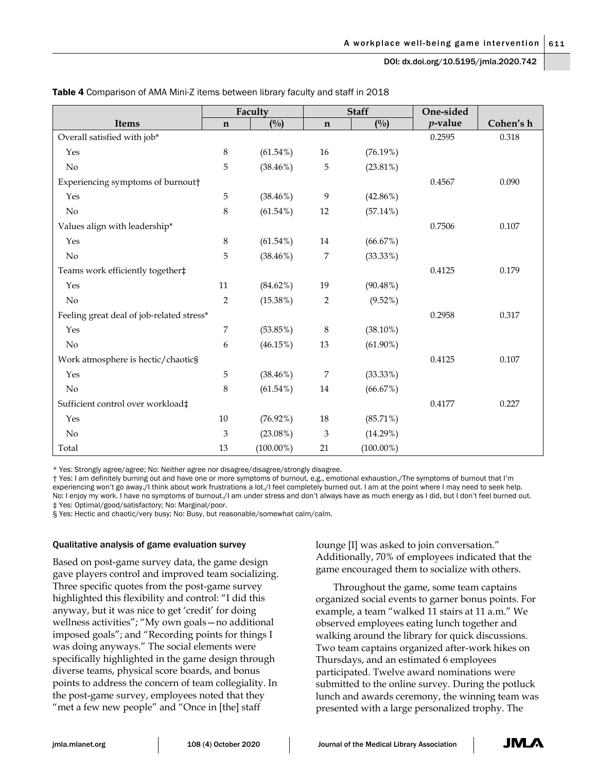|                                           | Faculty        |               | <b>Staff</b> |              | One-sided  |           |
|-------------------------------------------|----------------|---------------|--------------|--------------|------------|-----------|
| Items                                     | $\mathbf n$    | $(^{0}/_{0})$ | $\mathbf n$  | (0/0)        | $p$ -value | Cohen's h |
| Overall satisfied with job*               |                |               |              |              | 0.2595     | 0.318     |
| Yes                                       | $\,8\,$        | $(61.54\%)$   | 16           | (76.19%)     |            |           |
| $\rm No$                                  | 5              | $(38.46\%)$   | 5            | $(23.81\%)$  |            |           |
| Experiencing symptoms of burnout†         |                |               |              |              | 0.4567     | 0.090     |
| Yes                                       | 5              | $(38.46\%)$   | 9            | $(42.86\%)$  |            |           |
| No                                        | 8              | $(61.54\%)$   | 12           | $(57.14\%)$  |            |           |
| Values align with leadership*             |                |               |              |              | 0.7506     | 0.107     |
| Yes                                       | $\,8\,$        | $(61.54\%)$   | 14           | (66.67%)     |            |           |
| No                                        | 5              | $(38.46\%)$   | 7            | (33.33%)     |            |           |
| Teams work efficiently together#          |                |               |              |              | 0.4125     | 0.179     |
| Yes                                       | 11             | $(84.62\%)$   | 19           | $(90.48\%)$  |            |           |
| No                                        | $\overline{2}$ | $(15.38\%)$   | $\sqrt{2}$   | $(9.52\%)$   |            |           |
| Feeling great deal of job-related stress* |                |               |              |              | 0.2958     | 0.317     |
| Yes                                       | 7              | (53.85%)      | $\,8\,$      | $(38.10\%)$  |            |           |
| No                                        | 6              | (46.15%)      | 13           | $(61.90\%)$  |            |           |
| Work atmosphere is hectic/chaotic§        |                |               |              |              | 0.4125     | 0.107     |
| Yes                                       | 5              | $(38.46\%)$   | 7            | (33.33%)     |            |           |
| No                                        | 8              | $(61.54\%)$   | 14           | (66.67%)     |            |           |
| Sufficient control over workload‡         |                |               |              |              | 0.4177     | 0.227     |
| Yes                                       | $10\,$         | $(76.92\%)$   | 18           | $(85.71\%)$  |            |           |
| No                                        | 3              | $(23.08\%)$   | 3            | (14.29%)     |            |           |
| Total                                     | 13             | $(100.00\%)$  | 21           | $(100.00\%)$ |            |           |

Table 4 Comparison of AMA Mini-Z items between library faculty and staff in 2018

\* Yes: Strongly agree/agree; No: Neither agree nor disagree/disagree/strongly disagree.

† Yes: I am definitely burning out and have one or more symptoms of burnout, e.g., emotional exhaustion./The symptoms of burnout that I'm experiencing won't go away./I think about work frustrations a lot./I feel completely burned out. I am at the point where I may need to seek help. No: I enjoy my work. I have no symptoms of burnout./I am under stress and don't always have as much energy as I did, but I don't feel burned out. ‡ Yes: Optimal/good/satisfactory; No: Marginal/poor.

§ Yes: Hectic and chaotic/very busy; No: Busy, but reasonable/somewhat calm/calm.

#### Qualitative analysis of game evaluation survey

Based on post-game survey data, the game design gave players control and improved team socializing. Three specific quotes from the post-game survey highlighted this flexibility and control: "I did this anyway, but it was nice to get 'credit' for doing wellness activities"; "My own goals—no additional imposed goals"; and "Recording points for things I was doing anyways." The social elements were specifically highlighted in the game design through diverse teams, physical score boards, and bonus points to address the concern of team collegiality. In the post-game survey, employees noted that they "met a few new people" and "Once in [the] staff

lounge [I] was asked to join conversation." Additionally, 70% of employees indicated that the game encouraged them to socialize with others.

Throughout the game, some team captains organized social events to garner bonus points. For example, a team "walked 11 stairs at 11 a.m." We observed employees eating lunch together and walking around the library for quick discussions. Two team captains organized after-work hikes on Thursdays, and an estimated 6 employees participated. Twelve award nominations were submitted to the online survey. During the potluck lunch and awards ceremony, the winning team was presented with a large personalized trophy. The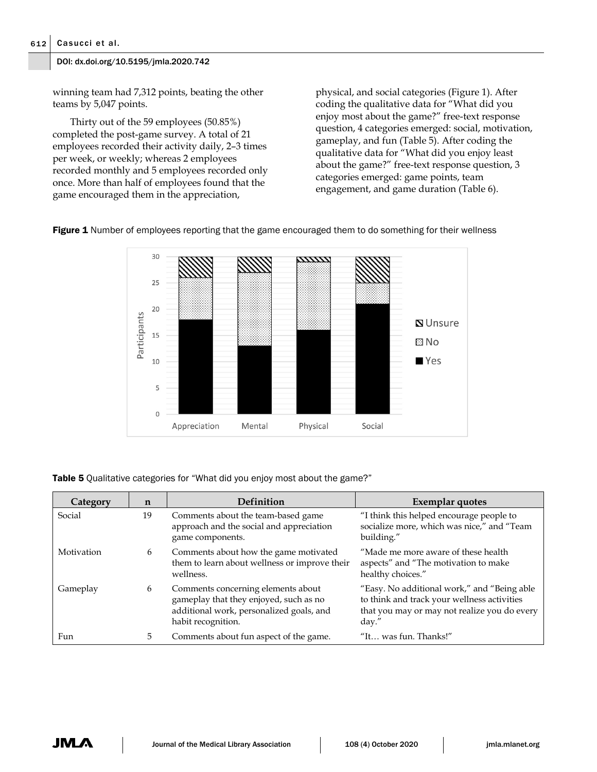winning team had 7,312 points, beating the other teams by 5,047 points.

Thirty out of the 59 employees (50.85%) completed the post-game survey. A total of 21 employees recorded their activity daily, 2–3 times per week, or weekly; whereas 2 employees recorded monthly and 5 employees recorded only once. More than half of employees found that the game encouraged them in the appreciation,

physical, and social categories (Figure 1). After coding the qualitative data for "What did you enjoy most about the game?" free-text response question, 4 categories emerged: social, motivation, gameplay, and fun (Table 5). After coding the qualitative data for "What did you enjoy least about the game?" free-text response question, 3 categories emerged: game points, team engagement, and game duration (Table 6).



Figure 1 Number of employees reporting that the game encouraged them to do something for their wellness

| <b>Table 5</b> Qualitative categories for "What did you enjoy most about the game?" |  |  |
|-------------------------------------------------------------------------------------|--|--|
|-------------------------------------------------------------------------------------|--|--|

| Category   | n  | Definition                                                                                                                                     | Exemplar quotes                                                                                                                                     |
|------------|----|------------------------------------------------------------------------------------------------------------------------------------------------|-----------------------------------------------------------------------------------------------------------------------------------------------------|
| Social     | 19 | Comments about the team-based game<br>approach and the social and appreciation<br>game components.                                             | "I think this helped encourage people to<br>socialize more, which was nice," and "Team<br>building."                                                |
| Motivation | 6  | Comments about how the game motivated<br>them to learn about wellness or improve their<br>wellness.                                            | "Made me more aware of these health<br>aspects" and "The motivation to make<br>healthy choices."                                                    |
| Gameplay   | 6  | Comments concerning elements about<br>gameplay that they enjoyed, such as no<br>additional work, personalized goals, and<br>habit recognition. | "Easy. No additional work," and "Being able<br>to think and track your wellness activities<br>that you may or may not realize you do every<br>day.' |
| Fun        | 5  | Comments about fun aspect of the game.                                                                                                         | "It was fun. Thanks!"                                                                                                                               |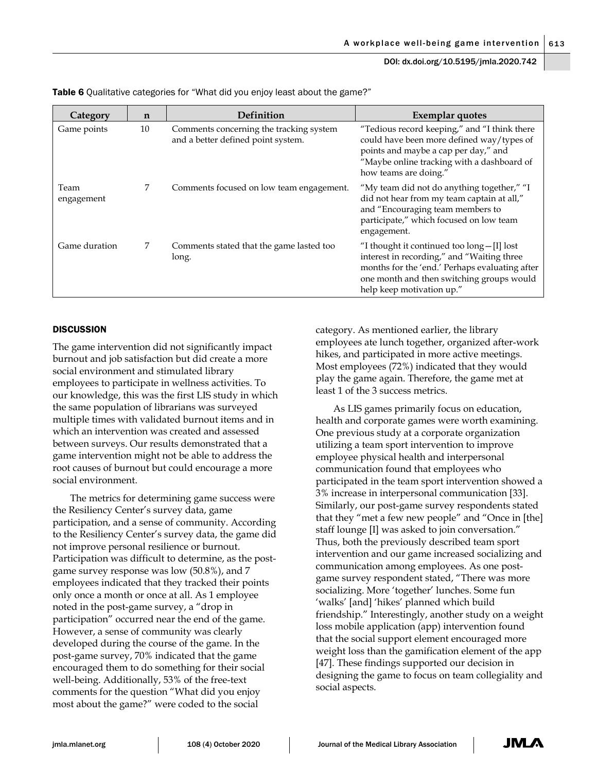| Category           | n  | Definition                                                                    | Exemplar quotes                                                                                                                                                                                                              |
|--------------------|----|-------------------------------------------------------------------------------|------------------------------------------------------------------------------------------------------------------------------------------------------------------------------------------------------------------------------|
| Game points        | 10 | Comments concerning the tracking system<br>and a better defined point system. | "Tedious record keeping," and "I think there<br>could have been more defined way/types of<br>points and maybe a cap per day," and<br>"Maybe online tracking with a dashboard of<br>how teams are doing."                     |
| Team<br>engagement | 7  | Comments focused on low team engagement.                                      | "My team did not do anything together," "I<br>did not hear from my team captain at all,"<br>and "Encouraging team members to<br>participate," which focused on low team<br>engagement.                                       |
| Game duration      | 7  | Comments stated that the game lasted too<br>long.                             | "I thought it continued too $\text{long}-[I]$ lost<br>interest in recording," and "Waiting three<br>months for the 'end.' Perhaps evaluating after<br>one month and then switching groups would<br>help keep motivation up." |

Table 6 Qualitative categories for "What did you enjoy least about the game?"

#### **DISCUSSION**

The game intervention did not significantly impact burnout and job satisfaction but did create a more social environment and stimulated library employees to participate in wellness activities. To our knowledge, this was the first LIS study in which the same population of librarians was surveyed multiple times with validated burnout items and in which an intervention was created and assessed between surveys. Our results demonstrated that a game intervention might not be able to address the root causes of burnout but could encourage a more social environment.

The metrics for determining game success were the Resiliency Center's survey data, game participation, and a sense of community. According to the Resiliency Center's survey data, the game did not improve personal resilience or burnout. Participation was difficult to determine, as the postgame survey response was low (50.8%), and 7 employees indicated that they tracked their points only once a month or once at all. As 1 employee noted in the post-game survey, a "drop in participation" occurred near the end of the game. However, a sense of community was clearly developed during the course of the game. In the post-game survey, 70% indicated that the game encouraged them to do something for their social well-being. Additionally, 53% of the free-text comments for the question "What did you enjoy most about the game?" were coded to the social

category. As mentioned earlier, the library employees ate lunch together, organized after-work hikes, and participated in more active meetings. Most employees (72%) indicated that they would play the game again. Therefore, the game met at least 1 of the 3 success metrics.

As LIS games primarily focus on education, health and corporate games were worth examining. One previous study at a corporate organization utilizing a team sport intervention to improve employee physical health and interpersonal communication found that employees who participated in the team sport intervention showed a 3% increase in interpersonal communication [33]. Similarly, our post-game survey respondents stated that they "met a few new people" and "Once in [the] staff lounge [I] was asked to join conversation." Thus, both the previously described team sport intervention and our game increased socializing and communication among employees. As one postgame survey respondent stated, "There was more socializing. More 'together' lunches. Some fun 'walks' [and] 'hikes' planned which build friendship." Interestingly, another study on a weight loss mobile application (app) intervention found that the social support element encouraged more weight loss than the gamification element of the app [47]. These findings supported our decision in designing the game to focus on team collegiality and social aspects.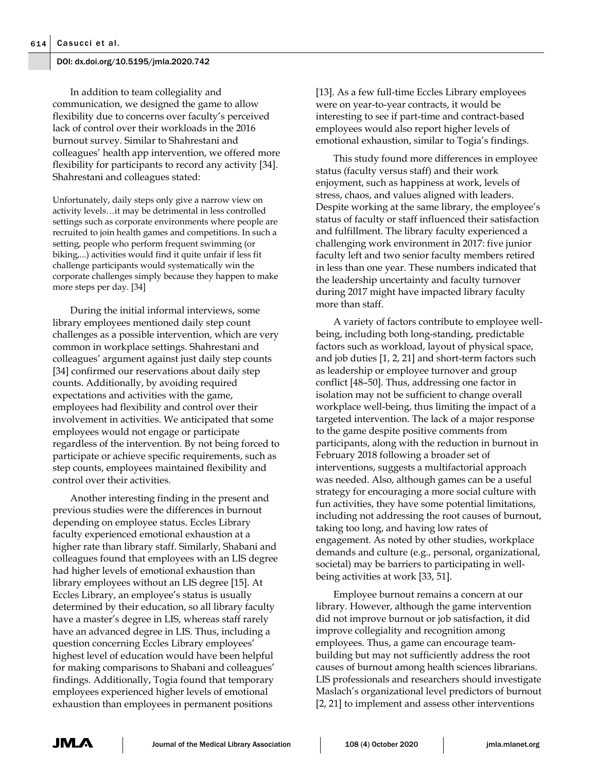In addition to team collegiality and communication, we designed the game to allow flexibility due to concerns over faculty's perceived lack of control over their workloads in the 2016 burnout survey. Similar to Shahrestani and colleagues' health app intervention, we offered more flexibility for participants to record any activity [34]. Shahrestani and colleagues stated:

Unfortunately, daily steps only give a narrow view on activity levels…it may be detrimental in less controlled settings such as corporate environments where people are recruited to join health games and competitions. In such a setting, people who perform frequent swimming (or biking,...) activities would find it quite unfair if less fit challenge participants would systematically win the corporate challenges simply because they happen to make more steps per day. [34]

During the initial informal interviews, some library employees mentioned daily step count challenges as a possible intervention, which are very common in workplace settings. Shahrestani and colleagues' argument against just daily step counts [34] confirmed our reservations about daily step counts. Additionally, by avoiding required expectations and activities with the game, employees had flexibility and control over their involvement in activities. We anticipated that some employees would not engage or participate regardless of the intervention. By not being forced to participate or achieve specific requirements, such as step counts, employees maintained flexibility and control over their activities.

Another interesting finding in the present and previous studies were the differences in burnout depending on employee status. Eccles Library faculty experienced emotional exhaustion at a higher rate than library staff. Similarly, Shabani and colleagues found that employees with an LIS degree had higher levels of emotional exhaustion than library employees without an LIS degree [15]. At Eccles Library, an employee's status is usually determined by their education, so all library faculty have a master's degree in LIS, whereas staff rarely have an advanced degree in LIS. Thus, including a question concerning Eccles Library employees' highest level of education would have been helpful for making comparisons to Shabani and colleagues' findings. Additionally, Togia found that temporary employees experienced higher levels of emotional exhaustion than employees in permanent positions

[13]. As a few full-time Eccles Library employees were on year-to-year contracts, it would be interesting to see if part-time and contract-based employees would also report higher levels of emotional exhaustion, similar to Togia's findings.

This study found more differences in employee status (faculty versus staff) and their work enjoyment, such as happiness at work, levels of stress, chaos, and values aligned with leaders. Despite working at the same library, the employee's status of faculty or staff influenced their satisfaction and fulfillment. The library faculty experienced a challenging work environment in 2017: five junior faculty left and two senior faculty members retired in less than one year. These numbers indicated that the leadership uncertainty and faculty turnover during 2017 might have impacted library faculty more than staff.

A variety of factors contribute to employee wellbeing, including both long-standing, predictable factors such as workload, layout of physical space, and job duties [1, 2, 21] and short-term factors such as leadership or employee turnover and group conflict [48–50]. Thus, addressing one factor in isolation may not be sufficient to change overall workplace well-being, thus limiting the impact of a targeted intervention. The lack of a major response to the game despite positive comments from participants, along with the reduction in burnout in February 2018 following a broader set of interventions, suggests a multifactorial approach was needed. Also, although games can be a useful strategy for encouraging a more social culture with fun activities, they have some potential limitations, including not addressing the root causes of burnout, taking too long, and having low rates of engagement. As noted by other studies, workplace demands and culture (e.g., personal, organizational, societal) may be barriers to participating in wellbeing activities at work [33, 51].

Employee burnout remains a concern at our library. However, although the game intervention did not improve burnout or job satisfaction, it did improve collegiality and recognition among employees. Thus, a game can encourage teambuilding but may not sufficiently address the root causes of burnout among health sciences librarians. LIS professionals and researchers should investigate Maslach's organizational level predictors of burnout [2, 21] to implement and assess other interventions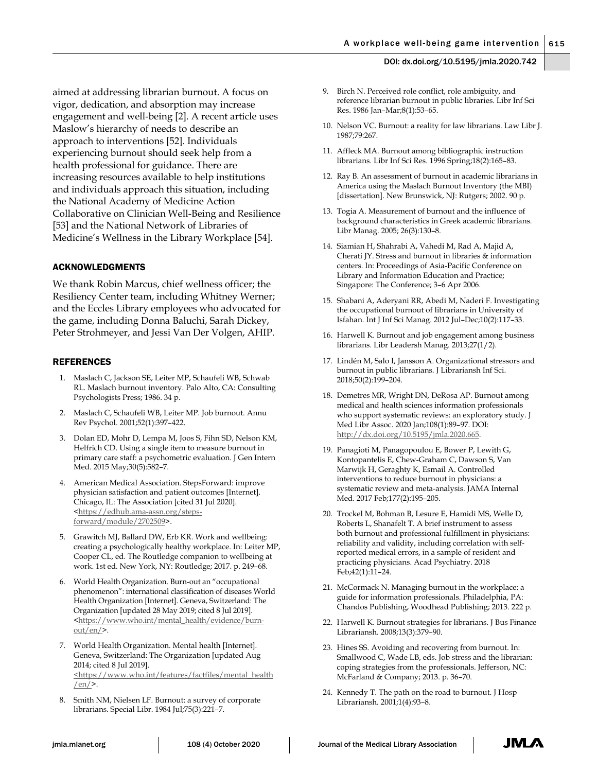aimed at addressing librarian burnout. A focus on vigor, dedication, and absorption may increase engagement and well-being [2]. A recent article uses Maslow's hierarchy of needs to describe an approach to interventions [52]. Individuals experiencing burnout should seek help from a health professional for guidance. There are increasing resources available to help institutions and individuals approach this situation, including the National Academy of Medicine Action Collaborative on Clinician Well-Being and Resilience [53] and the National Network of Libraries of Medicine's Wellness in the Library Workplace [54].

#### ACKNOWLEDGMENTS

We thank Robin Marcus, chief wellness officer; the Resiliency Center team, including Whitney Werner; and the Eccles Library employees who advocated for the game, including Donna Baluchi, Sarah Dickey, Peter Strohmeyer, and Jessi Van Der Volgen, AHIP.

#### REFERENCES

- 1. Maslach C, Jackson SE, Leiter MP, Schaufeli WB, Schwab RL. Maslach burnout inventory. Palo Alto, CA: Consulting Psychologists Press; 1986. 34 p.
- 2. Maslach C, Schaufeli WB, Leiter MP. Job burnout. Annu Rev Psychol. 2001;52(1):397–422.
- 3. Dolan ED, Mohr D, Lempa M, Joos S, Fihn SD, Nelson KM, Helfrich CD. Using a single item to measure burnout in primary care staff: a psychometric evaluation. J Gen Intern Med. 2015 May;30(5):582–7.
- 4. American Medical Association. StepsForward: improve physician satisfaction and patient outcomes [Internet]. Chicago, IL: The Association [cited 31 Jul 2020]. [<https://edhub.ama-assn.org/steps](https://edhub.ama-assn.org/steps-forward/module/2702509)[forward/module/2702509>](https://edhub.ama-assn.org/steps-forward/module/2702509).
- 5. Grawitch MJ, Ballard DW, Erb KR. Work and wellbeing: creating a psychologically healthy workplace. In: Leiter MP, Cooper CL, ed. The Routledge companion to wellbeing at work. 1st ed. New York, NY: Routledge; 2017. p. 249–68.
- 6. World Health Organization. Burn-out an "occupational phenomenon": international classification of diseases World Health Organization [Internet]. Geneva, Switzerland: The Organization [updated 28 May 2019; cited 8 Jul 2019]. [<https://www.who.int/mental\\_health/evidence/burn](https://www.who.int/mental_health/evidence/burn-out/en/)out/en/ $\geq$ .
- 7. World Health Organization. Mental health [Internet]. Geneva, Switzerland: The Organization [updated Aug 2014; cited 8 Jul 2019]. [<https://www.who.int/features/factfiles/mental\\_health](https://www.who.int/features/factfiles/mental_health/en/)  $/en/$ .
- 8. Smith NM, Nielsen LF. Burnout: a survey of corporate librarians. Special Libr. 1984 Jul;75(3):221–7.
- 9. Birch N. Perceived role conflict, role ambiguity, and reference librarian burnout in public libraries. Libr Inf Sci Res. 1986 Jan–Mar;8(1):53–65.
- 10. Nelson VC. Burnout: a reality for law librarians. Law Libr J. 1987;79:267.
- 11. Affleck MA. Burnout among bibliographic instruction librarians. Libr Inf Sci Res. 1996 Spring;18(2):165–83.
- 12. Ray B. An assessment of burnout in academic librarians in America using the Maslach Burnout Inventory (the MBI) [dissertation]. New Brunswick, NJ: Rutgers; 2002. 90 p.
- 13. Togia A. Measurement of burnout and the influence of background characteristics in Greek academic librarians. Libr Manag. 2005; 26(3):130–8.
- 14. Siamian H, Shahrabi A, Vahedi M, Rad A, Majid A, Cherati JY. Stress and burnout in libraries & information centers. In: Proceedings of Asia-Pacific Conference on Library and Information Education and Practice; Singapore: The Conference; 3–6 Apr 2006.
- 15. Shabani A, Aderyani RR, Abedi M, Naderi F. Investigating the occupational burnout of librarians in University of Isfahan. Int J Inf Sci Manag. 2012 Jul–Dec;10(2):117–33.
- 16. Harwell K. Burnout and job engagement among business librarians. Libr Leadersh Manag. 2013;27(1/2).
- 17. Lindén M, Salo I, Jansson A. Organizational stressors and burnout in public librarians. J Librariansh Inf Sci. 2018;50(2):199–204.
- 18. Demetres MR, Wright DN, DeRosa AP. Burnout among medical and health sciences information professionals who support systematic reviews: an exploratory study. J Med Libr Assoc. 2020 Jan;108(1):89–97. DOI: [http://dx.doi.org/10.5195/jmla.2020.665.](http://dx.doi.org/10.5195/jmla.2020.665)
- 19. Panagioti M, Panagopoulou E, Bower P, Lewith G, Kontopantelis E, Chew-Graham C, Dawson S, Van Marwijk H, Geraghty K, Esmail A. Controlled interventions to reduce burnout in physicians: a systematic review and meta-analysis. JAMA Internal Med. 2017 Feb;177(2):195–205.
- 20. Trockel M, Bohman B, Lesure E, Hamidi MS, Welle D, Roberts L, Shanafelt T. A brief instrument to assess both burnout and professional fulfillment in physicians: reliability and validity, including correlation with selfreported medical errors, in a sample of resident and practicing physicians. Acad Psychiatry. 2018 Feb;42(1):11–24.
- 21. McCormack N. Managing burnout in the workplace: a guide for information professionals. Philadelphia, PA: Chandos Publishing, Woodhead Publishing; 2013. 222 p.
- 22. Harwell K. Burnout strategies for librarians. J Bus Finance Librariansh. 2008;13(3):379–90.
- 23. Hines SS. Avoiding and recovering from burnout. In: Smallwood C, Wade LB, eds. Job stress and the librarian: coping strategies from the professionals. Jefferson, NC: McFarland & Company; 2013. p. 36–70.
- 24. Kennedy T. The path on the road to burnout. J Hosp Librariansh. 2001;1(4):93–8.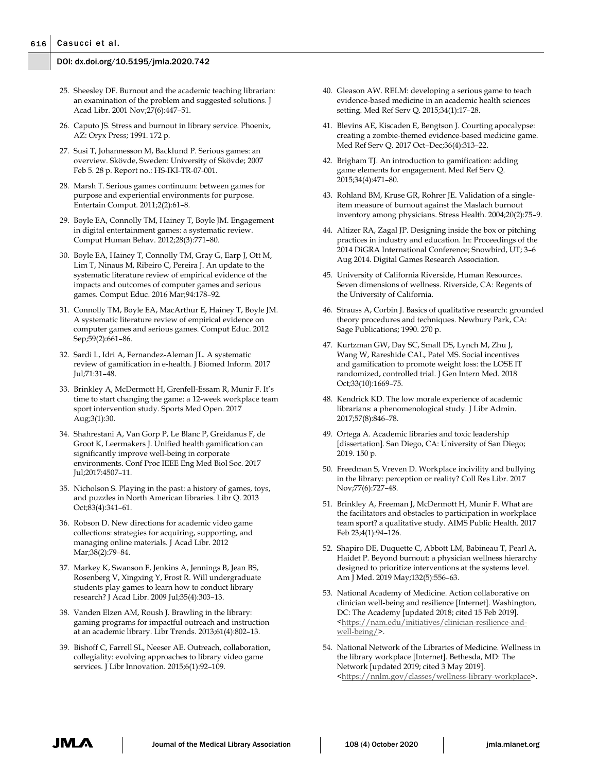- 25. Sheesley DF. Burnout and the academic teaching librarian: an examination of the problem and suggested solutions. J Acad Libr. 2001 Nov;27(6):447–51.
- 26. Caputo JS. Stress and burnout in library service. Phoenix, AZ: Oryx Press; 1991. 172 p.
- 27. Susi T, Johannesson M, Backlund P. Serious games: an overview. Skövde, Sweden: University of Skövde; 2007 Feb 5. 28 p. Report no.: HS-IKI-TR-07-001.
- 28. Marsh T. Serious games continuum: between games for purpose and experiential environments for purpose. Entertain Comput. 2011;2(2):61–8.
- 29. Boyle EA, Connolly TM, Hainey T, Boyle JM. Engagement in digital entertainment games: a systematic review. Comput Human Behav. 2012;28(3):771–80.
- 30. Boyle EA, Hainey T, Connolly TM, Gray G, Earp J, Ott M, Lim T, Ninaus M, Ribeiro C, Pereira J. An update to the systematic literature review of empirical evidence of the impacts and outcomes of computer games and serious games. Comput Educ. 2016 Mar;94:178–92.
- 31. Connolly TM, Boyle EA, MacArthur E, Hainey T, Boyle JM. A systematic literature review of empirical evidence on computer games and serious games. Comput Educ. 2012 Sep;59(2):661–86.
- 32. Sardi L, Idri A, Fernandez-Aleman JL. A systematic review of gamification in e-health. J Biomed Inform. 2017 Jul;71:31–48.
- 33. Brinkley A, McDermott H, Grenfell-Essam R, Munir F. It's time to start changing the game: a 12-week workplace team sport intervention study. Sports Med Open. 2017 Aug;3(1):30.
- 34. Shahrestani A, Van Gorp P, Le Blanc P, Greidanus F, de Groot K, Leermakers J. Unified health gamification can significantly improve well-being in corporate environments. Conf Proc IEEE Eng Med Biol Soc. 2017 Jul;2017:4507–11.
- 35. Nicholson S. Playing in the past: a history of games, toys, and puzzles in North American libraries. Libr Q. 2013 Oct;83(4):341–61.
- 36. Robson D. New directions for academic video game collections: strategies for acquiring, supporting, and managing online materials. J Acad Libr. 2012 Mar;38(2):79–84.
- 37. Markey K, Swanson F, Jenkins A, Jennings B, Jean BS, Rosenberg V, Xingxing Y, Frost R. Will undergraduate students play games to learn how to conduct library research? J Acad Libr. 2009 Jul;35(4):303–13.
- 38. Vanden Elzen AM, Roush J. Brawling in the library: gaming programs for impactful outreach and instruction at an academic library. Libr Trends. 2013;61(4):802–13.
- 39. Bishoff C, Farrell SL, Neeser AE. Outreach, collaboration, collegiality: evolving approaches to library video game services. J Libr Innovation. 2015;6(1):92–109.
- 40. Gleason AW. RELM: developing a serious game to teach evidence-based medicine in an academic health sciences setting. Med Ref Serv Q. 2015;34(1):17–28.
- 41. Blevins AE, Kiscaden E, Bengtson J. Courting apocalypse: creating a zombie-themed evidence-based medicine game. Med Ref Serv Q. 2017 Oct–Dec;36(4):313–22.
- 42. Brigham TJ. An introduction to gamification: adding game elements for engagement. Med Ref Serv Q. 2015;34(4):471–80.
- 43. Rohland BM, Kruse GR, Rohrer JE. Validation of a singleitem measure of burnout against the Maslach burnout inventory among physicians. Stress Health. 2004;20(2):75–9.
- 44. Altizer RA, Zagal JP. Designing inside the box or pitching practices in industry and education. In: Proceedings of the 2014 DiGRA International Conference; Snowbird, UT; 3–6 Aug 2014. Digital Games Research Association.
- 45. University of California Riverside, Human Resources. Seven dimensions of wellness. Riverside, CA: Regents of the University of California.
- 46. Strauss A, Corbin J. Basics of qualitative research: grounded theory procedures and techniques. Newbury Park, CA: Sage Publications; 1990. 270 p.
- 47. Kurtzman GW, Day SC, Small DS, Lynch M, Zhu J, Wang W, Rareshide CAL, Patel MS. Social incentives and gamification to promote weight loss: the LOSE IT randomized, controlled trial. J Gen Intern Med. 2018 Oct;33(10):1669–75.
- 48. Kendrick KD. The low morale experience of academic librarians: a phenomenological study. J Libr Admin. 2017;57(8):846–78.
- 49. Ortega A. Academic libraries and toxic leadership [dissertation]. San Diego, CA: University of San Diego; 2019. 150 p.
- 50. Freedman S, Vreven D. Workplace incivility and bullying in the library: perception or reality? Coll Res Libr. 2017 Nov;77(6):727–48.
- 51. Brinkley A, Freeman J, McDermott H, Munir F. What are the facilitators and obstacles to participation in workplace team sport? a qualitative study. AIMS Public Health. 2017 Feb 23;4(1):94–126.
- 52. Shapiro DE, Duquette C, Abbott LM, Babineau T, Pearl A, Haidet P. Beyond burnout: a physician wellness hierarchy designed to prioritize interventions at the systems level. Am J Med. 2019 May;132(5):556–63.
- 53. National Academy of Medicine. Action collaborative on clinician well-being and resilience [Internet]. Washington, DC: The Academy [updated 2018; cited 15 Feb 2019]. [<https://nam.edu/initiatives/clinician-resilience-and](https://nam.edu/initiatives/clinician-resilience-and-well-being/)[well-being/>](https://nam.edu/initiatives/clinician-resilience-and-well-being/).
- 54. National Network of the Libraries of Medicine. Wellness in the library workplace [Internet]. Bethesda, MD: The Network [updated 2019; cited 3 May 2019]. [<https://nnlm.gov/classes/wellness-library-workplace>](https://nnlm.gov/classes/wellness-library-workplace).